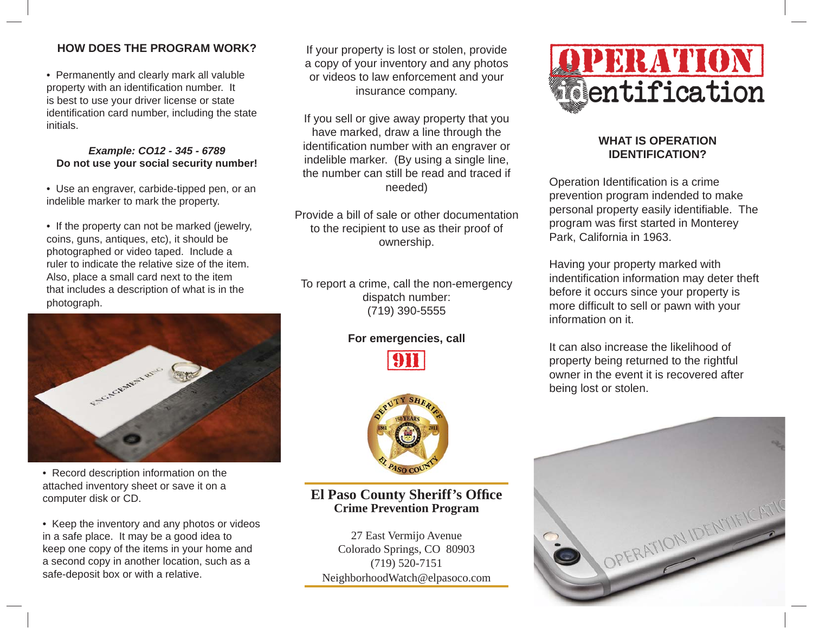# **HOW DOES THE PROGRAM WORK?**

• Permanently and clearly mark all valuble property with an identification number. It is best to use your driver license or state identification card number, including the state initials.

#### *Example: CO12 - 345 - 6789* **Do not use your social security number!**

• Use an engraver, carbide-tipped pen, or an indelible marker to mark the property.

• If the property can not be marked (jewelry, coins, guns, antiques, etc), it should be photographed or video taped. Include a ruler to indicate the relative size of the item. Also, place a small card next to the item that includes a description of what is in the photograph.



• Record description information on the attached inventory sheet or save it on a computer disk or CD.

• Keep the inventory and any photos or videos in a safe place. It may be a good idea to keep one copy of the items in your home and a second copy in another location, such as a safe-deposit box or with a relative.

If your property is lost or stolen, provide a copy of your inventory and any photos or videos to law enforcement and your insurance company.

If you sell or give away property that you have marked, draw a line through the identification number with an engraver or indelible marker. (By using a single line, the number can still be read and traced if needed)

Provide a bill of sale or other documentation to the recipient to use as their proof of ownership.

To report a crime, call the non-emergency dispatch number: (719) 390-5555

### **For emergencies, call**





# **El Paso County Sheriff's Office Crime Prevention Program**

27 East Vermijo Avenue Colorado Springs, CO 80903 (719) 520-7151 NeighborhoodWatch@elpasoco.com



## **WHAT IS OPERATION IDENTIFICATION?**

Operation Identification is a crime prevention program indended to make personal property easily identifiable. The program was first started in Monterey Park, California in 1963.

Having your property marked with indentification information may deter theft before it occurs since your property is more difficult to sell or pawn with your information on it.

It can also increase the likelihood of property being returned to the rightful owner in the event it is recovered after being lost or stolen.